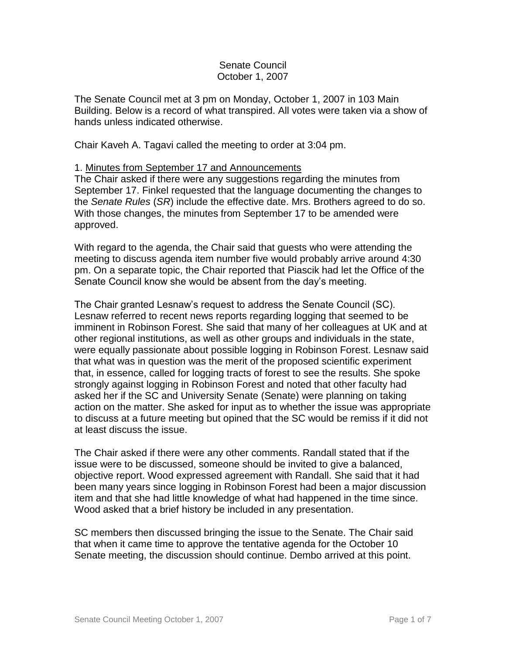## Senate Council October 1, 2007

The Senate Council met at 3 pm on Monday, October 1, 2007 in 103 Main Building. Below is a record of what transpired. All votes were taken via a show of hands unless indicated otherwise.

Chair Kaveh A. Tagavi called the meeting to order at 3:04 pm.

# 1. Minutes from September 17 and Announcements

The Chair asked if there were any suggestions regarding the minutes from September 17. Finkel requested that the language documenting the changes to the *Senate Rules* (*SR*) include the effective date. Mrs. Brothers agreed to do so. With those changes, the minutes from September 17 to be amended were approved.

With regard to the agenda, the Chair said that guests who were attending the meeting to discuss agenda item number five would probably arrive around 4:30 pm. On a separate topic, the Chair reported that Piascik had let the Office of the Senate Council know she would be absent from the day's meeting.

The Chair granted Lesnaw's request to address the Senate Council (SC). Lesnaw referred to recent news reports regarding logging that seemed to be imminent in Robinson Forest. She said that many of her colleagues at UK and at other regional institutions, as well as other groups and individuals in the state, were equally passionate about possible logging in Robinson Forest. Lesnaw said that what was in question was the merit of the proposed scientific experiment that, in essence, called for logging tracts of forest to see the results. She spoke strongly against logging in Robinson Forest and noted that other faculty had asked her if the SC and University Senate (Senate) were planning on taking action on the matter. She asked for input as to whether the issue was appropriate to discuss at a future meeting but opined that the SC would be remiss if it did not at least discuss the issue.

The Chair asked if there were any other comments. Randall stated that if the issue were to be discussed, someone should be invited to give a balanced, objective report. Wood expressed agreement with Randall. She said that it had been many years since logging in Robinson Forest had been a major discussion item and that she had little knowledge of what had happened in the time since. Wood asked that a brief history be included in any presentation.

SC members then discussed bringing the issue to the Senate. The Chair said that when it came time to approve the tentative agenda for the October 10 Senate meeting, the discussion should continue. Dembo arrived at this point.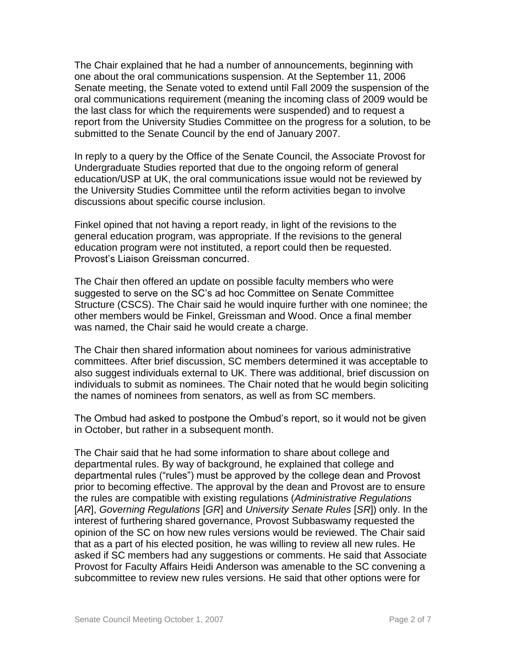The Chair explained that he had a number of announcements, beginning with one about the oral communications suspension. At the September 11, 2006 Senate meeting, the Senate voted to extend until Fall 2009 the suspension of the oral communications requirement (meaning the incoming class of 2009 would be the last class for which the requirements were suspended) and to request a report from the University Studies Committee on the progress for a solution, to be submitted to the Senate Council by the end of January 2007.

In reply to a query by the Office of the Senate Council, the Associate Provost for Undergraduate Studies reported that due to the ongoing reform of general education/USP at UK, the oral communications issue would not be reviewed by the University Studies Committee until the reform activities began to involve discussions about specific course inclusion.

Finkel opined that not having a report ready, in light of the revisions to the general education program, was appropriate. If the revisions to the general education program were not instituted, a report could then be requested. Provost's Liaison Greissman concurred.

The Chair then offered an update on possible faculty members who were suggested to serve on the SC's ad hoc Committee on Senate Committee Structure (CSCS). The Chair said he would inquire further with one nominee; the other members would be Finkel, Greissman and Wood. Once a final member was named, the Chair said he would create a charge.

The Chair then shared information about nominees for various administrative committees. After brief discussion, SC members determined it was acceptable to also suggest individuals external to UK. There was additional, brief discussion on individuals to submit as nominees. The Chair noted that he would begin soliciting the names of nominees from senators, as well as from SC members.

The Ombud had asked to postpone the Ombud's report, so it would not be given in October, but rather in a subsequent month.

The Chair said that he had some information to share about college and departmental rules. By way of background, he explained that college and departmental rules ("rules") must be approved by the college dean and Provost prior to becoming effective. The approval by the dean and Provost are to ensure the rules are compatible with existing regulations (*Administrative Regulations* [*AR*], *Governing Regulations* [*GR*] and *University Senate Rules* [*SR*]) only. In the interest of furthering shared governance, Provost Subbaswamy requested the opinion of the SC on how new rules versions would be reviewed. The Chair said that as a part of his elected position, he was willing to review all new rules. He asked if SC members had any suggestions or comments. He said that Associate Provost for Faculty Affairs Heidi Anderson was amenable to the SC convening a subcommittee to review new rules versions. He said that other options were for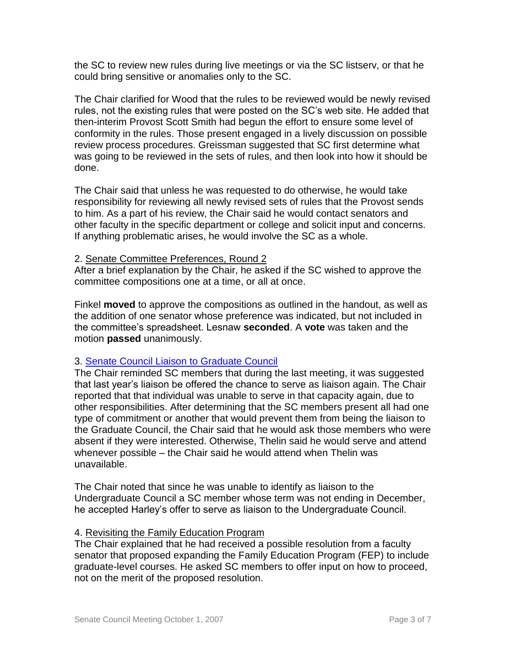the SC to review new rules during live meetings or via the SC listserv, or that he could bring sensitive or anomalies only to the SC.

The Chair clarified for Wood that the rules to be reviewed would be newly revised rules, not the existing rules that were posted on the SC's web site. He added that then-interim Provost Scott Smith had begun the effort to ensure some level of conformity in the rules. Those present engaged in a lively discussion on possible review process procedures. Greissman suggested that SC first determine what was going to be reviewed in the sets of rules, and then look into how it should be done.

The Chair said that unless he was requested to do otherwise, he would take responsibility for reviewing all newly revised sets of rules that the Provost sends to him. As a part of his review, the Chair said he would contact senators and other faculty in the specific department or college and solicit input and concerns. If anything problematic arises, he would involve the SC as a whole.

### 2. Senate Committee Preferences, Round 2

After a brief explanation by the Chair, he asked if the SC wished to approve the committee compositions one at a time, or all at once.

Finkel **moved** to approve the compositions as outlined in the handout, as well as the addition of one senator whose preference was indicated, but not included in the committee's spreadsheet. Lesnaw **seconded**. A **vote** was taken and the motion **passed** unanimously.

### 3. [Senate Council Liaison to Graduate Council](http://www.uky.edu/USC/New/files/20070917/GC%20Meeting%20Dates.pdf)

The Chair reminded SC members that during the last meeting, it was suggested that last year's liaison be offered the chance to serve as liaison again. The Chair reported that that individual was unable to serve in that capacity again, due to other responsibilities. After determining that the SC members present all had one type of commitment or another that would prevent them from being the liaison to the Graduate Council, the Chair said that he would ask those members who were absent if they were interested. Otherwise, Thelin said he would serve and attend whenever possible – the Chair said he would attend when Thelin was unavailable.

The Chair noted that since he was unable to identify as liaison to the Undergraduate Council a SC member whose term was not ending in December, he accepted Harley's offer to serve as liaison to the Undergraduate Council.

### 4. Revisiting the Family Education Program

The Chair explained that he had received a possible resolution from a faculty senator that proposed expanding the Family Education Program (FEP) to include graduate-level courses. He asked SC members to offer input on how to proceed, not on the merit of the proposed resolution.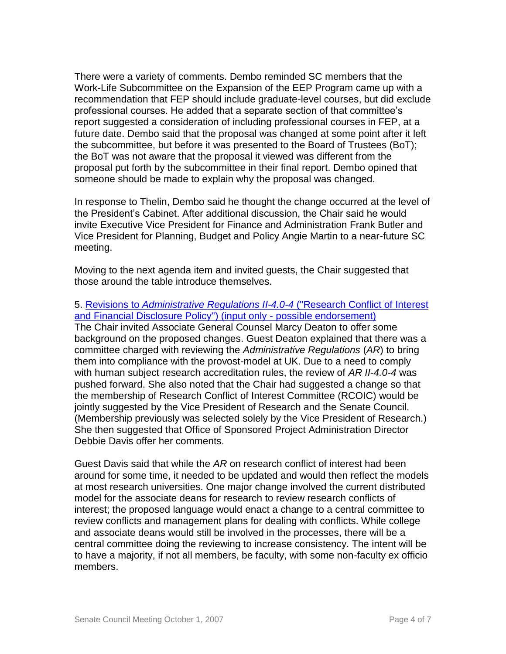There were a variety of comments. Dembo reminded SC members that the Work-Life Subcommittee on the Expansion of the EEP Program came up with a recommendation that FEP should include graduate-level courses, but did exclude professional courses. He added that a separate section of that committee's report suggested a consideration of including professional courses in FEP, at a future date. Dembo said that the proposal was changed at some point after it left the subcommittee, but before it was presented to the Board of Trustees (BoT); the BoT was not aware that the proposal it viewed was different from the proposal put forth by the subcommittee in their final report. Dembo opined that someone should be made to explain why the proposal was changed.

In response to Thelin, Dembo said he thought the change occurred at the level of the President's Cabinet. After additional discussion, the Chair said he would invite Executive Vice President for Finance and Administration Frank Butler and Vice President for Planning, Budget and Policy Angie Martin to a near-future SC meeting.

Moving to the next agenda item and invited guests, the Chair suggested that those around the table introduce themselves.

5. Revisions to *[Administrative Regulations II-4.0-4](http://www.uky.edu/USC/New/files/20071001/AR%20II-4-0-4_Complete.pdf)* ("Research Conflict of Interest [and Financial Disclosure Policy"\) \(input only -](http://www.uky.edu/USC/New/files/20071001/AR%20II-4-0-4_Complete.pdf) possible endorsement) The Chair invited Associate General Counsel Marcy Deaton to offer some background on the proposed changes. Guest Deaton explained that there was a committee charged with reviewing the *Administrative Regulations* (*AR*) to bring them into compliance with the provost-model at UK. Due to a need to comply with human subject research accreditation rules, the review of *AR II-4.0-4* was pushed forward. She also noted that the Chair had suggested a change so that the membership of Research Conflict of Interest Committee (RCOIC) would be jointly suggested by the Vice President of Research and the Senate Council. (Membership previously was selected solely by the Vice President of Research.) She then suggested that Office of Sponsored Project Administration Director Debbie Davis offer her comments.

Guest Davis said that while the *AR* on research conflict of interest had been around for some time, it needed to be updated and would then reflect the models at most research universities. One major change involved the current distributed model for the associate deans for research to review research conflicts of interest; the proposed language would enact a change to a central committee to review conflicts and management plans for dealing with conflicts. While college and associate deans would still be involved in the processes, there will be a central committee doing the reviewing to increase consistency. The intent will be to have a majority, if not all members, be faculty, with some non-faculty ex officio members.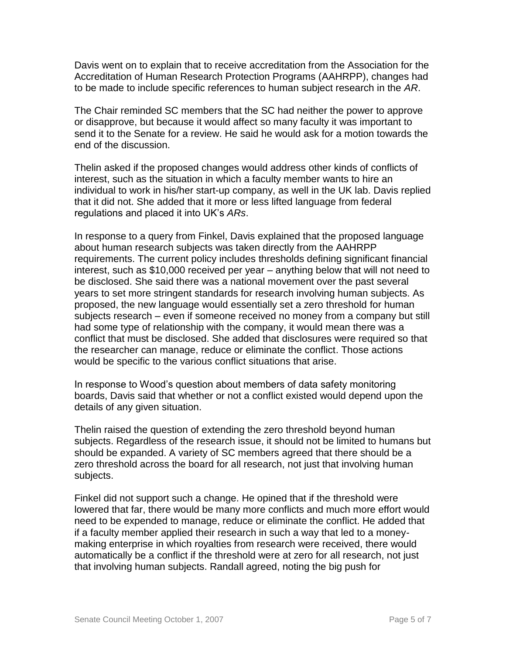Davis went on to explain that to receive accreditation from the Association for the Accreditation of Human Research Protection Programs (AAHRPP), changes had to be made to include specific references to human subject research in the *AR*.

The Chair reminded SC members that the SC had neither the power to approve or disapprove, but because it would affect so many faculty it was important to send it to the Senate for a review. He said he would ask for a motion towards the end of the discussion.

Thelin asked if the proposed changes would address other kinds of conflicts of interest, such as the situation in which a faculty member wants to hire an individual to work in his/her start-up company, as well in the UK lab. Davis replied that it did not. She added that it more or less lifted language from federal regulations and placed it into UK's *ARs*.

In response to a query from Finkel, Davis explained that the proposed language about human research subjects was taken directly from the AAHRPP requirements. The current policy includes thresholds defining significant financial interest, such as \$10,000 received per year – anything below that will not need to be disclosed. She said there was a national movement over the past several years to set more stringent standards for research involving human subjects. As proposed, the new language would essentially set a zero threshold for human subjects research – even if someone received no money from a company but still had some type of relationship with the company, it would mean there was a conflict that must be disclosed. She added that disclosures were required so that the researcher can manage, reduce or eliminate the conflict. Those actions would be specific to the various conflict situations that arise.

In response to Wood's question about members of data safety monitoring boards, Davis said that whether or not a conflict existed would depend upon the details of any given situation.

Thelin raised the question of extending the zero threshold beyond human subjects. Regardless of the research issue, it should not be limited to humans but should be expanded. A variety of SC members agreed that there should be a zero threshold across the board for all research, not just that involving human subjects.

Finkel did not support such a change. He opined that if the threshold were lowered that far, there would be many more conflicts and much more effort would need to be expended to manage, reduce or eliminate the conflict. He added that if a faculty member applied their research in such a way that led to a moneymaking enterprise in which royalties from research were received, there would automatically be a conflict if the threshold were at zero for all research, not just that involving human subjects. Randall agreed, noting the big push for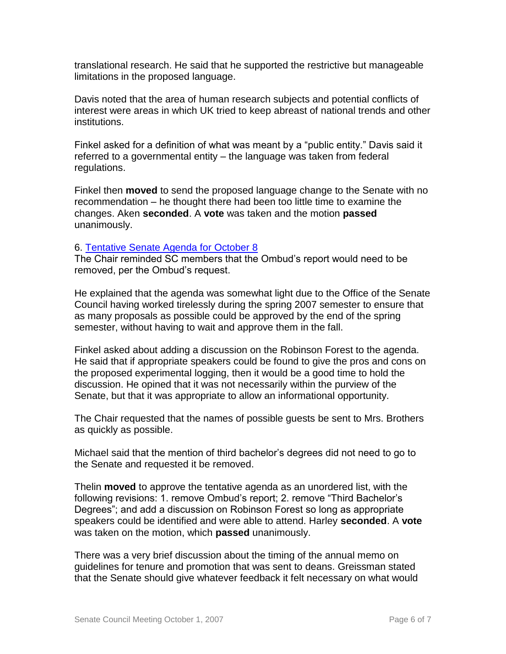translational research. He said that he supported the restrictive but manageable limitations in the proposed language.

Davis noted that the area of human research subjects and potential conflicts of interest were areas in which UK tried to keep abreast of national trends and other institutions.

Finkel asked for a definition of what was meant by a "public entity." Davis said it referred to a governmental entity – the language was taken from federal regulations.

Finkel then **moved** to send the proposed language change to the Senate with no recommendation – he thought there had been too little time to examine the changes. Aken **seconded**. A **vote** was taken and the motion **passed** unanimously.

### 6. [Tentative Senate Agenda for October 8](http://www.uky.edu/USC/New/files/20071001/Tentative%20Senate%20Agenda%20for%2010-1.pdf)

The Chair reminded SC members that the Ombud's report would need to be removed, per the Ombud's request.

He explained that the agenda was somewhat light due to the Office of the Senate Council having worked tirelessly during the spring 2007 semester to ensure that as many proposals as possible could be approved by the end of the spring semester, without having to wait and approve them in the fall.

Finkel asked about adding a discussion on the Robinson Forest to the agenda. He said that if appropriate speakers could be found to give the pros and cons on the proposed experimental logging, then it would be a good time to hold the discussion. He opined that it was not necessarily within the purview of the Senate, but that it was appropriate to allow an informational opportunity.

The Chair requested that the names of possible guests be sent to Mrs. Brothers as quickly as possible.

Michael said that the mention of third bachelor's degrees did not need to go to the Senate and requested it be removed.

Thelin **moved** to approve the tentative agenda as an unordered list, with the following revisions: 1. remove Ombud's report; 2. remove "Third Bachelor's Degrees"; and add a discussion on Robinson Forest so long as appropriate speakers could be identified and were able to attend. Harley **seconded**. A **vote** was taken on the motion, which **passed** unanimously.

There was a very brief discussion about the timing of the annual memo on guidelines for tenure and promotion that was sent to deans. Greissman stated that the Senate should give whatever feedback it felt necessary on what would